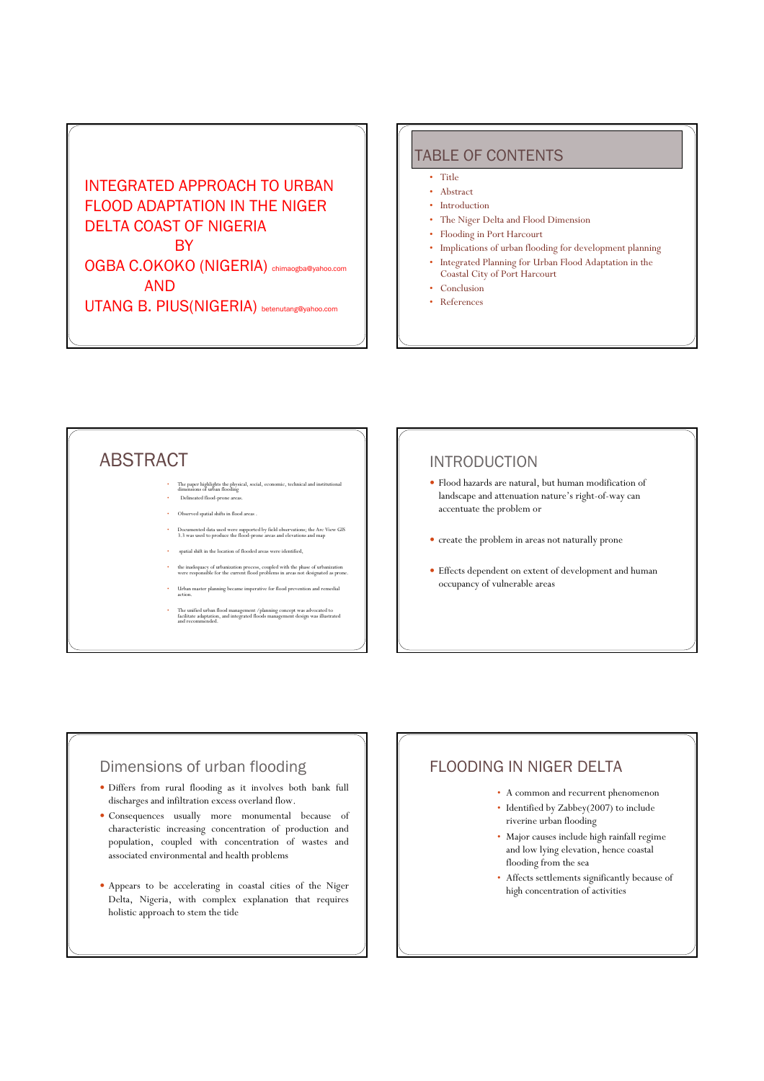INTEGRATED APPROACH TO URBAN FLOOD ADAPTATION IN THE NIGER DELTA COAST OF NIGERIA **BY** OGBA C.OKOKO (NIGERIA) chimaogba@yahoo.com

AND

UTANG B. PIUS(NIGERIA) betenutang@yahoo.com

### TABLE OF CONTENTS

- Title
- Abstract
- Introduction
- The Niger Delta and Flood Dimension
- Flooding in Port Harcourt
- Implications of urban flooding for development planning
- Integrated Planning for Urban Flood Adaptation in the Coastal City of Port Harcourt
- Conclusion
- References

# ABSTRACT

- The paper highlights the physical, social, economic, technical and institutional dimensions of urban flooding Delineated flood-prone are
- Observed spatial shifts in flood areas .
- Documented data used were supported by field observations; the Arc View GIS 3.3 was used to produce the flood-prone areas and elevations and map
- spatial shift in the location of flooded areas were identified,
- the inadequacy of urbanization process, coupled with the phase of urbanization were responsible for the current flood problems in areas not designated as prone.
- Urban master planning became imperative for flood prevention and remediation and remediation and remediation and  $r_{\text{max}}$ action.
- The unified urban flood management /planning concept was advocated to facilitate adaptation, and integrated floods management design was illustrated and recommended.

## INTRODUCTION

- y Flood hazards are natural, but human modification of landscape and attenuation nature's right-of-way can accentuate the problem or
- y create the problem in areas not naturally prone
- Effects dependent on extent of development and human occupancy of vulnerable areas

## Dimensions of urban flooding

- y Differs from rural flooding as it involves both bank full discharges and infiltration excess overland flow.
- y Consequences usually more monumental because of characteristic increasing concentration of production and population, coupled with concentration of wastes and associated environmental and health problems
- Appears to be accelerating in coastal cities of the Niger Delta, Nigeria, with complex explanation that requires holistic approach to stem the tide

## FLOODING IN NIGER DELTA

- A common and recurrent phenomenon
- Identified by Zabbey(2007) to include riverine urban flooding
- Major causes include high rainfall regime and low lying elevation, hence coastal flooding from the sea
- Affects settlements significantly because of high concentration of activities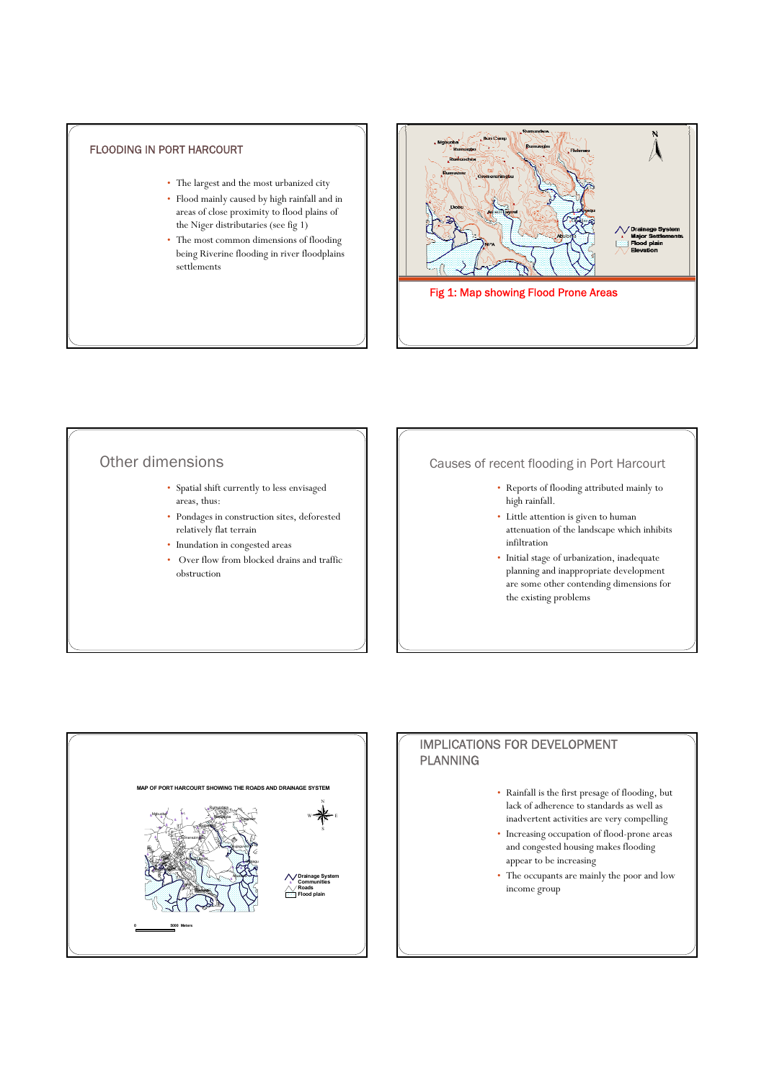### FLOODING IN PORT HARCOURT

- The largest and the most urbanized city
- Flood mainly caused by high rainfall and in areas of close proximity to flood plains of the Niger distributaries (see fig 1)
- The most common dimensions of flooding being Riverine flooding in river floodplains settlements



## Other dimensions

- Spatial shift currently to less envisaged areas, thus:
- Pondages in construction sites, deforested relatively flat terrain
- Inundation in congested areas
- Over flow from blocked drains and traffic obstruction

### Causes of recent flooding in Port Harcourt

- Reports of flooding attributed mainly to high rainfall.
- Little attention is given to human attenuation of the landscape which inhibits infiltration
- Initial stage of urbanization, inadequate planning and inappropriate development are some other contending dimensions for the existing problems



### IMPLICATIONS FOR DEVELOPMENT PLANNING

- Rainfall is the first presage of flooding, but lack of adherence to standards as well as inadvertent activities are very compelling
- Increasing occupation of flood-prone areas and congested housing makes flooding appear to be increasing
- The occupants are mainly the poor and low income group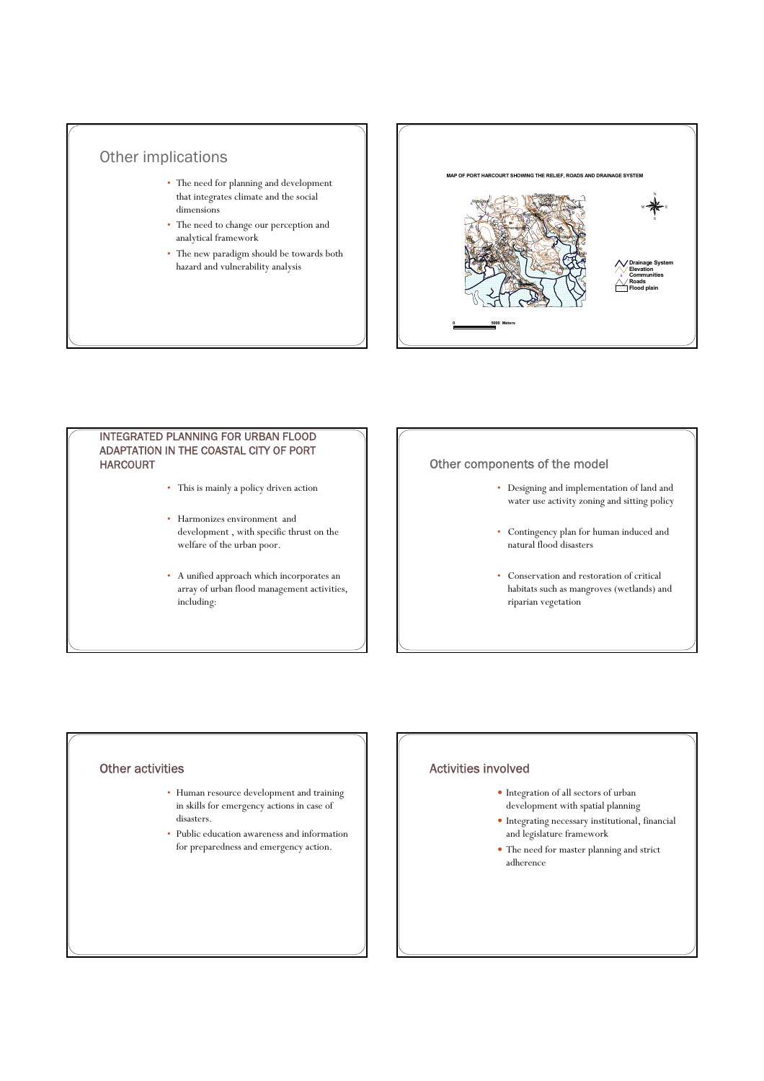



#### INTEGRATED PLANNING FOR URBAN FLOOD ADAPTATION IN THE COASTAL CITY OF PORT HARCOURT

- This is mainly a policy driven action
- Harmonizes environment and development , with specific thrust on the welfare of the urban poor.
- A unified approach which incorporates an array of urban flood management activities, including:

#### Other components of the model

- Designing and implementation of land and water use activity zoning and sitting policy
- Contingency plan for human induced and natural flood disasters
- Conservation and restoration of critical habitats such as mangroves (wetlands) and riparian vegetation

#### Other activities

- Human resource development and training in skills for emergency actions in case of disasters.
- Public education awareness and information for preparedness and emergency action.

#### Activities involved

- y Integration of all sectors of urban development with spatial planning
- $\bullet$  Integrating necessary institutional, financial and legislature framework
- The need for master planning and strict adherence